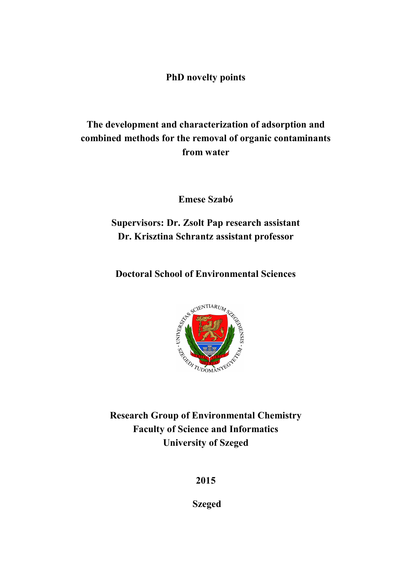PhD novelty points

# The development and characterization of adsorption and combined methods for the removal of organic contaminants from water

Emese Szabó

## Supervisors: Dr. Zsolt Pap research assistant Dr. Krisztina Schrantz assistant professor

Doctoral School of Environmental Sciences



Research Group of Environmental Chemistry Faculty of Science and Informatics University of Szeged

2015

Szeged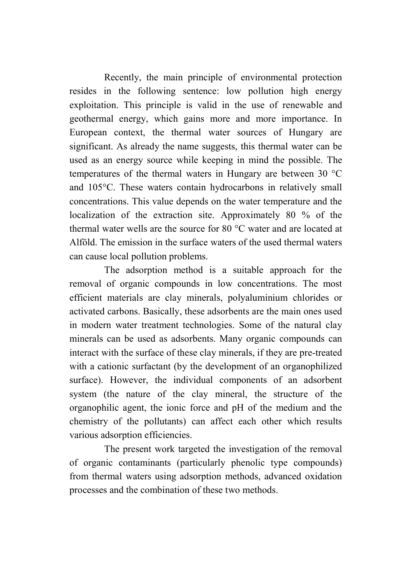Recently, the main principle of environmental protection resides in the following sentence: low pollution high energy exploitation. This principle is valid in the use of renewable and geothermal energy, which gains more and more importance. In European context, the thermal water sources of Hungary are significant. As already the name suggests, this thermal water can be used as an energy source while keeping in mind the possible. The temperatures of the thermal waters in Hungary are between 30 °C and 105°C. These waters contain hydrocarbons in relatively small concentrations. This value depends on the water temperature and the localization of the extraction site. Approximately 80 % of the thermal water wells are the source for 80 °C water and are located at Alföld. The emission in the surface waters of the used thermal waters can cause local pollution problems.

The adsorption method is a suitable approach for the removal of organic compounds in low concentrations. The most efficient materials are clay minerals, polyaluminium chlorides or activated carbons. Basically, these adsorbents are the main ones used in modern water treatment technologies. Some of the natural clay minerals can be used as adsorbents. Many organic compounds can interact with the surface of these clay minerals, if they are pre-treated with a cationic surfactant (by the development of an organophilized surface). However, the individual components of an adsorbent system (the nature of the clay mineral, the structure of the organophilic agent, the ionic force and pH of the medium and the chemistry of the pollutants) can affect each other which results various adsorption efficiencies.

The present work targeted the investigation of the removal of organic contaminants (particularly phenolic type compounds) from thermal waters using adsorption methods, advanced oxidation processes and the combination of these two methods.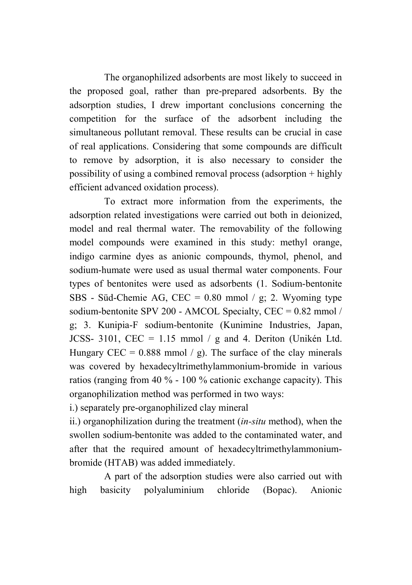The organophilized adsorbents are most likely to succeed in the proposed goal, rather than pre-prepared adsorbents. By the adsorption studies, I drew important conclusions concerning the competition for the surface of the adsorbent including the simultaneous pollutant removal. These results can be crucial in case of real applications. Considering that some compounds are difficult to remove by adsorption, it is also necessary to consider the possibility of using a combined removal process (adsorption + highly efficient advanced oxidation process).

To extract more information from the experiments, the adsorption related investigations were carried out both in deionized, model and real thermal water. The removability of the following model compounds were examined in this study: methyl orange, indigo carmine dyes as anionic compounds, thymol, phenol, and sodium-humate were used as usual thermal water components. Four types of bentonites were used as adsorbents (1. Sodium-bentonite SBS - Süd-Chemie AG, CEC =  $0.80$  mmol / g; 2. Wyoming type sodium-bentonite SPV 200 - AMCOL Specialty, CEC = 0.82 mmol / g; 3. Kunipia-F sodium-bentonite (Kunimine Industries, Japan, JCSS- 3101, CEC = 1.15 mmol / g and 4. Deriton (Unikén Ltd. Hungary CEC =  $0.888$  mmol / g). The surface of the clay minerals was covered by hexadecyltrimethylammonium-bromide in various ratios (ranging from 40 % - 100 % cationic exchange capacity). This organophilization method was performed in two ways:

i.) separately pre-organophilized clay mineral

ii.) organophilization during the treatment (*in-situ* method), when the swollen sodium-bentonite was added to the contaminated water, and after that the required amount of hexadecyltrimethylammoniumbromide (HTAB) was added immediately.

A part of the adsorption studies were also carried out with high basicity polyaluminium chloride (Bopac). Anionic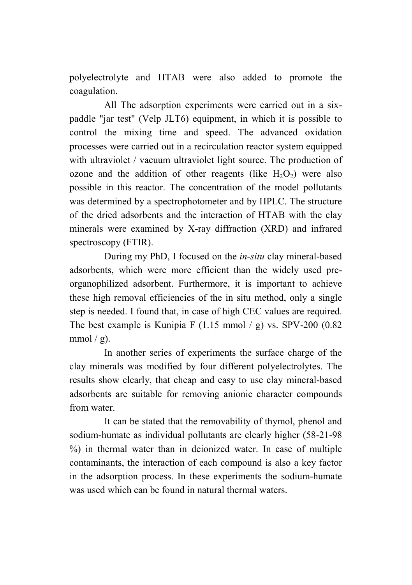polyelectrolyte and HTAB were also added to promote the coagulation.

All The adsorption experiments were carried out in a sixpaddle "jar test" (Velp JLT6) equipment, in which it is possible to control the mixing time and speed. The advanced oxidation processes were carried out in a recirculation reactor system equipped with ultraviolet / vacuum ultraviolet light source. The production of ozone and the addition of other reagents (like  $H_2O_2$ ) were also possible in this reactor. The concentration of the model pollutants was determined by a spectrophotometer and by HPLC. The structure of the dried adsorbents and the interaction of HTAB with the clay minerals were examined by X-ray diffraction (XRD) and infrared spectroscopy (FTIR).

During my PhD, I focused on the *in-situ* clay mineral-based adsorbents, which were more efficient than the widely used preorganophilized adsorbent. Furthermore, it is important to achieve these high removal efficiencies of the in situ method, only a single step is needed. I found that, in case of high CEC values are required. The best example is Kunipia F (1.15 mmol  $/$  g) vs. SPV-200 (0.82) mmol  $/$  g).

In another series of experiments the surface charge of the clay minerals was modified by four different polyelectrolytes. The results show clearly, that cheap and easy to use clay mineral-based adsorbents are suitable for removing anionic character compounds from water.

It can be stated that the removability of thymol, phenol and sodium-humate as individual pollutants are clearly higher (58-21-98 %) in thermal water than in deionized water. In case of multiple contaminants, the interaction of each compound is also a key factor in the adsorption process. In these experiments the sodium-humate was used which can be found in natural thermal waters.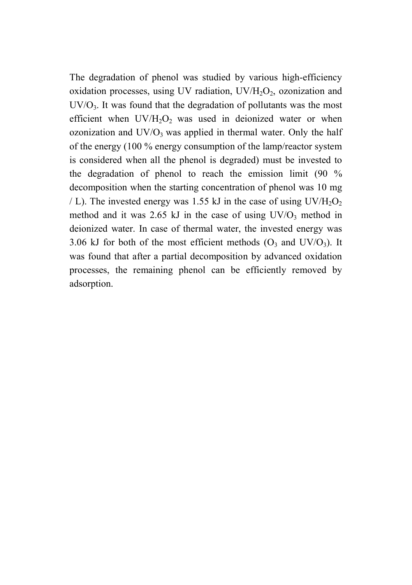The degradation of phenol was studied by various high-efficiency oxidation processes, using UV radiation,  $UV/H<sub>2</sub>O<sub>2</sub>$ , ozonization and  $UV/O<sub>3</sub>$ . It was found that the degradation of pollutants was the most efficient when  $UV/H<sub>2</sub>O<sub>2</sub>$  was used in deionized water or when ozonization and  $UV/O_3$  was applied in thermal water. Only the half of the energy (100 % energy consumption of the lamp/reactor system is considered when all the phenol is degraded) must be invested to the degradation of phenol to reach the emission limit (90 % decomposition when the starting concentration of phenol was 10 mg / L). The invested energy was 1.55 kJ in the case of using  $UV/H<sub>2</sub>O<sub>2</sub>$ method and it was  $2.65$  kJ in the case of using  $UV/O_3$  method in deionized water. In case of thermal water, the invested energy was 3.06 kJ for both of the most efficient methods  $(O_3 \text{ and } UV/O_3)$ . It was found that after a partial decomposition by advanced oxidation processes, the remaining phenol can be efficiently removed by adsorption.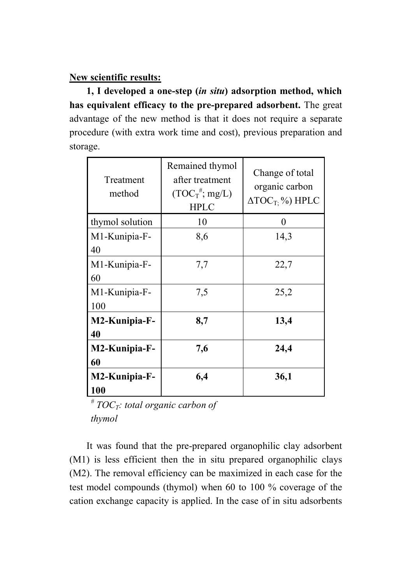#### New scientific results:

1, I developed a one-step (*in situ*) adsorption method, which has equivalent efficacy to the pre-prepared adsorbent. The great advantage of the new method is that it does not require a separate procedure (with extra work time and cost), previous preparation and storage.

| Treatment<br>method  | Remained thymol<br>after treatment<br>$(TOC_T^{\#}; mg/L)$<br><b>HPLC</b> | Change of total<br>organic carbon<br>$\Delta TOC_T$ %) HPLC |
|----------------------|---------------------------------------------------------------------------|-------------------------------------------------------------|
| thymol solution      | 10                                                                        | 0                                                           |
| M1-Kunipia-F-<br>40  | 8,6                                                                       | 14,3                                                        |
| M1-Kunipia-F-<br>60  | 7,7                                                                       | 22,7                                                        |
| M1-Kunipia-F-<br>100 | 7.5                                                                       | 25,2                                                        |
| M2-Kunipia-F-<br>40  | 8,7                                                                       | 13,4                                                        |
| M2-Kunipia-F-<br>60  | 7,6                                                                       | 24,4                                                        |
| M2-Kunipia-F-<br>100 | 6,4                                                                       | 36,1                                                        |

*# TOCT: total organic carbon of thymol*

It was found that the pre-prepared organophilic clay adsorbent (M1) is less efficient then the in situ prepared organophilic clays (M2). The removal efficiency can be maximized in each case for the test model compounds (thymol) when 60 to 100 % coverage of the cation exchange capacity is applied. In the case of in situ adsorbents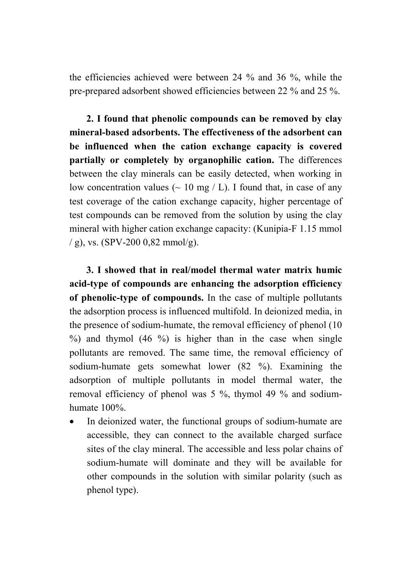the efficiencies achieved were between 24 % and 36 %, while the pre-prepared adsorbent showed efficiencies between 22 % and 25 %.

2. I found that phenolic compounds can be removed by clay mineral-based adsorbents. The effectiveness of the adsorbent can be influenced when the cation exchange capacity is covered partially or completely by organophilic cation. The differences between the clay minerals can be easily detected, when working in low concentration values ( $\sim$  10 mg / L). I found that, in case of any test coverage of the cation exchange capacity, higher percentage of test compounds can be removed from the solution by using the clay mineral with higher cation exchange capacity: (Kunipia-F 1.15 mmol / g), vs. (SPV-200 0,82 mmol/g).

3. I showed that in real/model thermal water matrix humic acid-type of compounds are enhancing the adsorption efficiency of phenolic-type of compounds. In the case of multiple pollutants the adsorption process is influenced multifold. In deionized media, in the presence of sodium-humate, the removal efficiency of phenol (10 %) and thymol (46 %) is higher than in the case when single pollutants are removed. The same time, the removal efficiency of sodium-humate gets somewhat lower (82 %). Examining the adsorption of multiple pollutants in model thermal water, the removal efficiency of phenol was 5 %, thymol 49 % and sodiumhumate 100%.

 In deionized water, the functional groups of sodium-humate are accessible, they can connect to the available charged surface sites of the clay mineral. The accessible and less polar chains of sodium-humate will dominate and they will be available for other compounds in the solution with similar polarity (such as phenol type).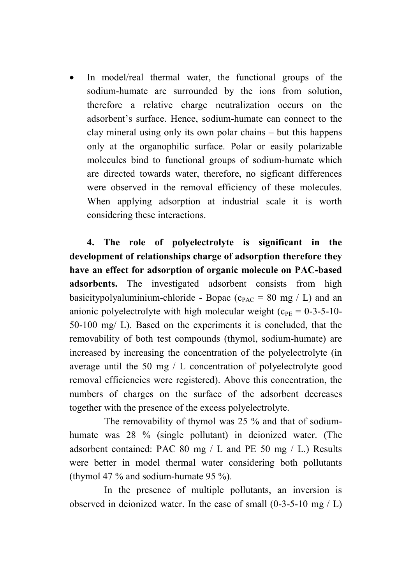In model/real thermal water, the functional groups of the sodium-humate are surrounded by the ions from solution, therefore a relative charge neutralization occurs on the adsorbent's surface. Hence, sodium-humate can connect to the clay mineral using only its own polar chains – but this happens only at the organophilic surface. Polar or easily polarizable molecules bind to functional groups of sodium-humate which are directed towards water, therefore, no sigficant differences were observed in the removal efficiency of these molecules. When applying adsorption at industrial scale it is worth considering these interactions.

4. The role of polyelectrolyte is significant in the development of relationships charge of adsorption therefore they have an effect for adsorption of organic molecule on PAC-based adsorbents. The investigated adsorbent consists from high basicitypolyaluminium-chloride - Bopac ( $c_{PAC}$  = 80 mg / L) and an anionic polyelectrolyte with high molecular weight  $(c_{PF} = 0.3-5-10-1)$ 50-100 mg/ L). Based on the experiments it is concluded, that the removability of both test compounds (thymol, sodium-humate) are increased by increasing the concentration of the polyelectrolyte (in average until the 50 mg / L concentration of polyelectrolyte good removal efficiencies were registered). Above this concentration, the numbers of charges on the surface of the adsorbent decreases together with the presence of the excess polyelectrolyte.

The removability of thymol was 25 % and that of sodiumhumate was 28 % (single pollutant) in deionized water. (The adsorbent contained: PAC 80 mg / L and PE 50 mg / L.) Results were better in model thermal water considering both pollutants (thymol 47 % and sodium-humate 95 %).

In the presence of multiple pollutants, an inversion is observed in deionized water. In the case of small (0-3-5-10 mg / L)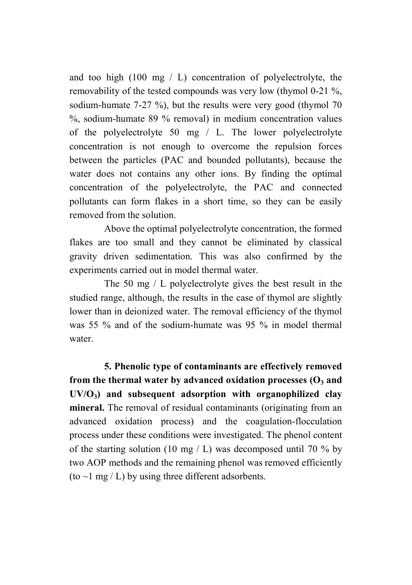and too high  $(100 \text{ mg} / \text{L})$  concentration of polyelectrolyte, the removability of the tested compounds was very low (thymol 0-21 %, sodium-humate 7-27 %), but the results were very good (thymol 70 %, sodium-humate 89 % removal) in medium concentration values of the polyelectrolyte 50 mg / L. The lower polyelectrolyte concentration is not enough to overcome the repulsion forces between the particles (PAC and bounded pollutants), because the water does not contains any other ions. By finding the optimal concentration of the polyelectrolyte, the PAC and connected pollutants can form flakes in a short time, so they can be easily removed from the solution.

Above the optimal polyelectrolyte concentration, the formed flakes are too small and they cannot be eliminated by classical gravity driven sedimentation. This was also confirmed by the experiments carried out in model thermal water.

The 50 mg / L polyelectrolyte gives the best result in the studied range, although, the results in the case of thymol are slightly lower than in deionized water. The removal efficiency of the thymol was 55 % and of the sodium-humate was 95 % in model thermal water.

5. Phenolic type of contaminants are effectively removed from the thermal water by advanced oxidation processes  $(0, 3)$  and  $UV/O<sub>3</sub>$  and subsequent adsorption with organophilized clay mineral. The removal of residual contaminants (originating from an advanced oxidation process) and the coagulation-flocculation process under these conditions were investigated. The phenol content of the starting solution (10 mg / L) was decomposed until 70  $\%$  by two AOP methods and the remaining phenol was removed efficiently (to  $\sim$ 1 mg / L) by using three different adsorbents.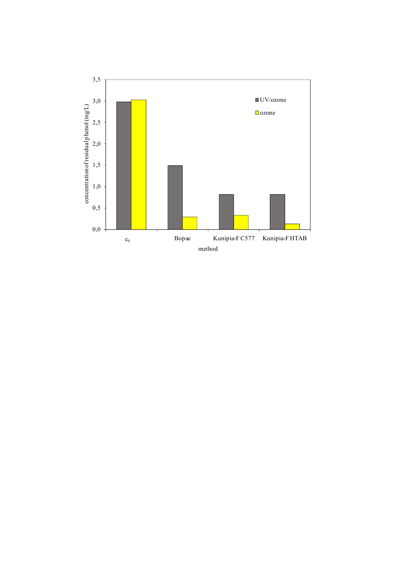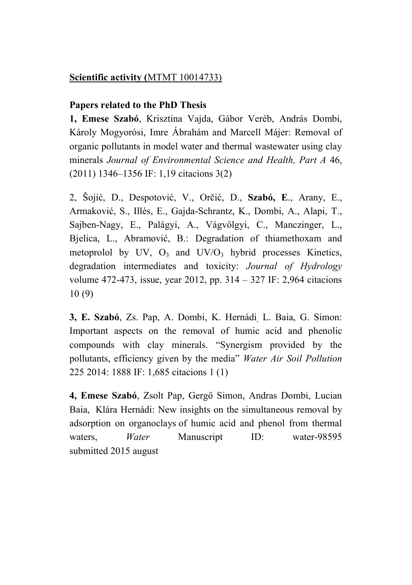## Scientific activity (MTMT 10014733)

#### Papers related to the PhD Thesis

1, Emese Szabó, Krisztina Vajda, Gábor Veréb, András Dombi, Károly Mogyorósi, Imre Ábrahám and Marcell Májer: Removal of organic pollutants in model water and thermal wastewater using clay minerals *Journal of Environmental Science and Health, Part A* 46, (2011) 1346–1356 IF: 1,19 citacions 3(2)

2, Šojić, D., Despotović, V., Orčić, D., Szabó, E., Arany, E., Armaković, S., Illés, E., Gajda-Schrantz, K., Dombi, A., Alapi, T., Sajben-Nagy, E., Palágyi, A., Vágvölgyi, C., Manczinger, L., Bjelica, L., Abramović, B.: Degradation of thiamethoxam and metoprolol by UV,  $O_3$  and UV/ $O_3$  hybrid processes Kinetics, degradation intermediates and toxicity: *Journal of Hydrology*  volume 472-473, issue, year 2012, pp. 314 – 327 IF: 2,964 citacions 10 (9)

3, E. Szabó, Zs. Pap, A. Dombi, K. Hernádi, L. Baia, G. Simon: Important aspects on the removal of humic acid and phenolic compounds with clay minerals. "Synergism provided by the pollutants, efficiency given by the media" *Water Air Soil Pollution* 225 2014: 1888 IF: 1,685 citacions 1 (1)

4, Emese Szabó, Zsolt Pap, Gergő Simon, Andras Dombi, Lucian Baia, Klára Hernádi: New insights on the simultaneous removal by adsorption on organoclays of humic acid and phenol from thermal waters. *Water* Manuscript ID: water-98595 submitted 2015 august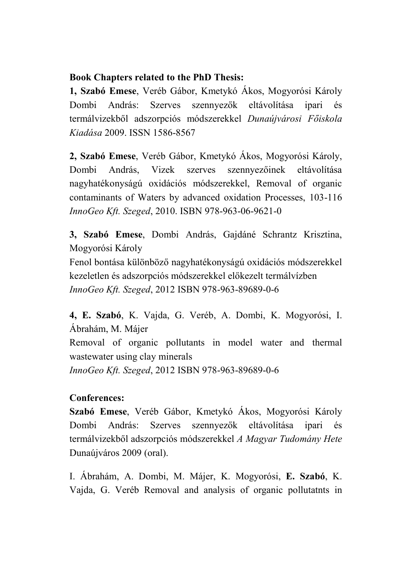## Book Chapters related to the PhD Thesis:

1, Szabó Emese, Veréb Gábor, Kmetykó Ákos, Mogyorósi Károly Dombi András: Szerves szennyezők eltávolítása ipari és termálvizekből adszorpciós módszerekkel *Dunaújvárosi Főiskola Kiadása* 2009. ISSN 1586-8567

2, Szabó Emese, Veréb Gábor, Kmetykó Ákos, Mogyorósi Károly, Dombi András, Vizek szerves szennyezőinek eltávolítása nagyhatékonyságú oxidációs módszerekkel, Removal of organic contaminants of Waters by advanced oxidation Processes, 103-116 *InnoGeo Kft. Szeged*, 2010. ISBN 978-963-06-9621-0

3, Szabó Emese, Dombi András, Gajdáné Schrantz Krisztina, Mogyorósi Károly

Fenol bontása különböző nagyhatékonyságú oxidációs módszerekkel kezeletlen és adszorpciós módszerekkel előkezelt termálvízben *InnoGeo Kft. Szeged*, 2012 ISBN 978-963-89689-0-6

4, E. Szabó, K. Vajda, G. Veréb, A. Dombi, K. Mogyorósi, I. Ábrahám, M. Májer Removal of organic pollutants in model water and thermal wastewater using clay minerals *InnoGeo Kft. Szeged*, 2012 ISBN 978-963-89689-0-6

## Conferences:

Szabó Emese, Veréb Gábor, Kmetykó Ákos, Mogyorósi Károly Dombi András: Szerves szennyezők eltávolítása ipari és termálvizekből adszorpciós módszerekkel *A Magyar Tudomány Hete* Dunaújváros 2009 (oral).

I. Ábrahám, A. Dombi, M. Májer, K. Mogyorósi, E. Szabó, K. Vajda, G. Veréb Removal and analysis of organic pollutatnts in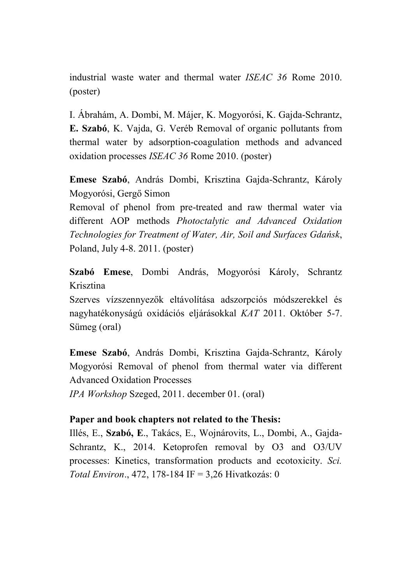industrial waste water and thermal water *ISEAC 36* Rome 2010. (poster)

I. Ábrahám, A. Dombi, M. Májer, K. Mogyorósi, K. Gajda-Schrantz, E. Szabó, K. Vajda, G. Veréb Removal of organic pollutants from thermal water by adsorption-coagulation methods and advanced oxidation processes *ISEAC 36* Rome 2010. (poster)

Emese Szabó, András Dombi, Krisztina Gajda-Schrantz, Károly Mogyorósi, Gergő Simon

Removal of phenol from pre-treated and raw thermal water via different AOP methods *Photoctalytic and Advanced Oxidation Technologies for Treatment of Water, Air, Soil and Surfaces Gdańsk*, Poland, July 4-8. 2011. (poster)

Szabó Emese, Dombi András, Mogyorósi Károly, Schrantz Krisztina

Szerves vízszennyezők eltávolítása adszorpciós módszerekkel és nagyhatékonyságú oxidációs eljárásokkal *KAT* 2011. Október 5-7. Sümeg (oral)

Emese Szabó, András Dombi, Krisztina Gajda-Schrantz, Károly Mogyorósi Removal of phenol from thermal water via different Advanced Oxidation Processes

*IPA Workshop* Szeged, 2011. december 01. (oral)

#### Paper and book chapters not related to the Thesis:

Illés, E., Szabó, E., Takács, E., Wojnárovits, L., Dombi, A., Gajda-Schrantz, K., 2014. Ketoprofen removal by O3 and O3/UV processes: Kinetics, transformation products and ecotoxicity. *Sci. Total Environ*., 472, 178-184 IF = 3,26 Hivatkozás: 0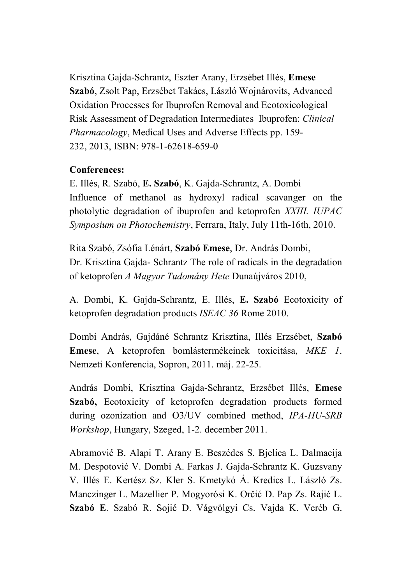Krisztina Gajda-Schrantz, Eszter Arany, Erzsébet Illés, Emese Szabó, Zsolt Pap, Erzsébet Takács, László Wojnárovits, Advanced Oxidation Processes for Ibuprofen Removal and Ecotoxicological Risk Assessment of Degradation Intermediates Ibuprofen: *Clinical Pharmacology*, Medical Uses and Adverse Effects pp. 159- 232, 2013, ISBN: 978-1-62618-659-0

## Conferences:

E. Illés, R. Szabó, E. Szabó, K. Gajda-Schrantz, A. Dombi Influence of methanol as hydroxyl radical scavanger on the photolytic degradation of ibuprofen and ketoprofen *XXIII. IUPAC Symposium on Photochemistry*, Ferrara, Italy, July 11th-16th, 2010.

Rita Szabó, Zsófia Lénárt, Szabó Emese, Dr. András Dombi, Dr. Krisztina Gajda- Schrantz The role of radicals in the degradation of ketoprofen *A Magyar Tudomány Hete* Dunaújváros 2010,

A. Dombi, K. Gajda-Schrantz, E. Illés, E. Szabó Ecotoxicity of ketoprofen degradation products *ISEAC 36* Rome 2010.

Dombi András, Gajdáné Schrantz Krisztina, Illés Erzsébet, Szabó Emese, A ketoprofen bomlástermékeinek toxicitása, *MKE 1*. Nemzeti Konferencia, Sopron, 2011. máj. 22-25.

András Dombi, Krisztina Gajda-Schrantz, Erzsébet Illés, Emese Szabó, Ecotoxicity of ketoprofen degradation products formed during ozonization and O3/UV combined method, *IPA-HU-SRB Workshop*, Hungary, Szeged, 1-2. december 2011.

Abramović B. Alapi T. Arany E. Beszédes S. Bjelica L. Dalmacija M. Despotović V. Dombi A. Farkas J. Gajda-Schrantz K. Guzsvany V. Illés E. Kertész Sz. Kler S. Kmetykó Á. Kredics L. László Zs. Manczinger L. Mazellier P. Mogyorósi K. Orčić D. Pap Zs. Rajić L. Szabó E. Szabó R. Sojić D. Vágvölgyi Cs. Vajda K. Veréb G.